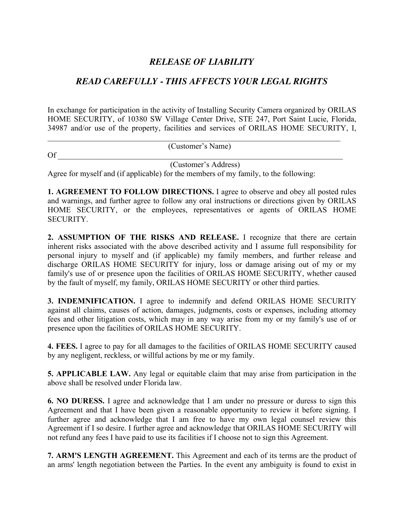## *RELEASE OF LIABILITY*

## *READ CAREFULLY - THIS AFFECTS YOUR LEGAL RIGHTS*

In exchange for participation in the activity of Installing Security Camera organized by ORILAS HOME SECURITY, of 10380 SW Village Center Drive, STE 247, Port Saint Lucie, Florida, 34987 and/or use of the property, facilities and services of ORILAS HOME SECURITY, I,

|    | (Customer's Name)    |  |
|----|----------------------|--|
| Of |                      |  |
|    | (Customer's Address) |  |

Agree for myself and (if applicable) for the members of my family, to the following:

**1. AGREEMENT TO FOLLOW DIRECTIONS.** I agree to observe and obey all posted rules and warnings, and further agree to follow any oral instructions or directions given by ORILAS HOME SECURITY, or the employees, representatives or agents of ORILAS HOME SECURITY.

**2. ASSUMPTION OF THE RISKS AND RELEASE.** I recognize that there are certain inherent risks associated with the above described activity and I assume full responsibility for personal injury to myself and (if applicable) my family members, and further release and discharge ORILAS HOME SECURITY for injury, loss or damage arising out of my or my family's use of or presence upon the facilities of ORILAS HOME SECURITY, whether caused by the fault of myself, my family, ORILAS HOME SECURITY or other third parties.

**3. INDEMNIFICATION.** I agree to indemnify and defend ORILAS HOME SECURITY against all claims, causes of action, damages, judgments, costs or expenses, including attorney fees and other litigation costs, which may in any way arise from my or my family's use of or presence upon the facilities of ORILAS HOME SECURITY.

**4. FEES.** I agree to pay for all damages to the facilities of ORILAS HOME SECURITY caused by any negligent, reckless, or willful actions by me or my family.

**5. APPLICABLE LAW.** Any legal or equitable claim that may arise from participation in the above shall be resolved under Florida law.

**6. NO DURESS.** I agree and acknowledge that I am under no pressure or duress to sign this Agreement and that I have been given a reasonable opportunity to review it before signing. I further agree and acknowledge that I am free to have my own legal counsel review this Agreement if I so desire. I further agree and acknowledge that ORILAS HOME SECURITY will not refund any fees I have paid to use its facilities if I choose not to sign this Agreement.

**7. ARM'S LENGTH AGREEMENT.** This Agreement and each of its terms are the product of an arms' length negotiation between the Parties. In the event any ambiguity is found to exist in